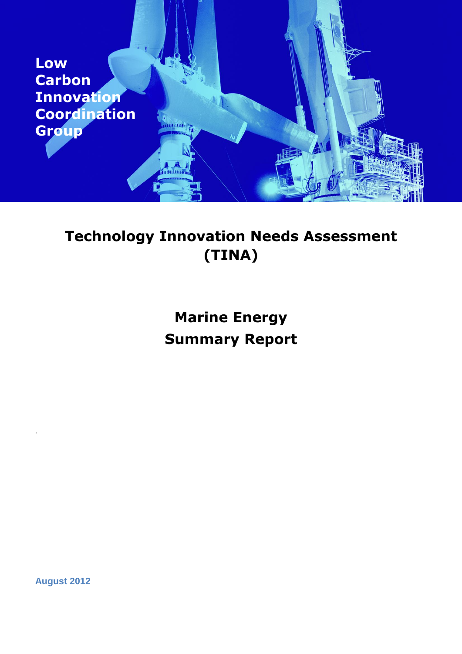

## **Technology Innovation Needs Assessment (TINA)**

# **Marine Energy Summary Report**

**August 2012**

.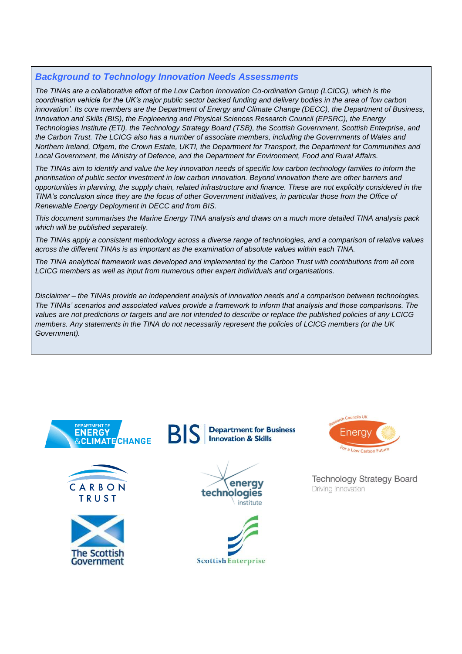## *Background to Technology Innovation Needs Assessments*

*The TINAs are a collaborative effort of the Low Carbon Innovation Co-ordination Group (LCICG), which is the coordination vehicle for the UK's major public sector backed funding and delivery bodies in the area of 'low carbon innovation'. Its core members are the Department of Energy and Climate Change (DECC), the Department of Business, Innovation and Skills (BIS), the Engineering and Physical Sciences Research Council (EPSRC), the Energy Technologies Institute (ETI), the Technology Strategy Board (TSB), the Scottish Government, Scottish Enterprise, and the Carbon Trust. The LCICG also has a number of associate members, including the Governments of Wales and Northern Ireland, Ofgem, the Crown Estate, UKTI, the Department for Transport, the Department for Communities and Local Government, the Ministry of Defence, and the Department for Environment, Food and Rural Affairs.*

*The TINAs aim to identify and value the key innovation needs of specific low carbon technology families to inform the prioritisation of public sector investment in low carbon innovation. Beyond innovation there are other barriers and opportunities in planning, the supply chain, related infrastructure and finance. These are not explicitly considered in the TINA's conclusion since they are the focus of other Government initiatives, in particular those from the Office of Renewable Energy Deployment in DECC and from BIS.*

*This document summarises the Marine Energy TINA analysis and draws on a much more detailed TINA analysis pack which will be published separately.*

*The TINAs apply a consistent methodology across a diverse range of technologies, and a comparison of relative values across the different TINAs is as important as the examination of absolute values within each TINA.*

*The TINA analytical framework was developed and implemented by the Carbon Trust with contributions from all core LCICG members as well as input from numerous other expert individuals and organisations.*

*Disclaimer – the TINAs provide an independent analysis of innovation needs and a comparison between technologies. The TINAs' scenarios and associated values provide a framework to inform that analysis and those comparisons. The values are not predictions or targets and are not intended to describe or replace the published policies of any LCICG members. Any statements in the TINA do not necessarily represent the policies of LCICG members (or the UK Government).*















**Technology Strategy Board** Driving Innovation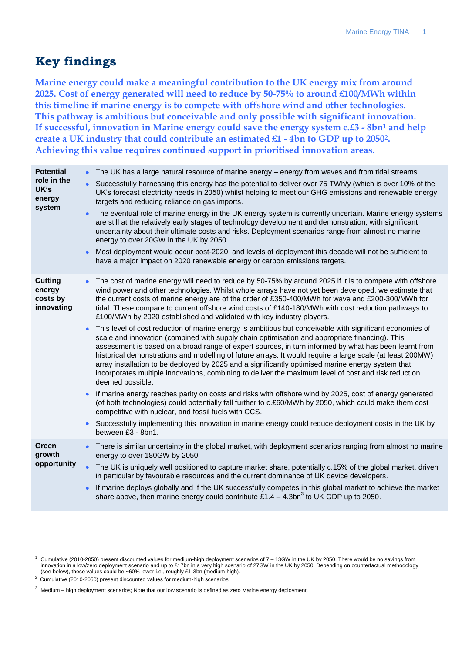## **Key findings**

<span id="page-2-0"></span>**Marine energy could make a meaningful contribution to the UK energy mix from around 2025. Cost of energy generated will need to reduce by 50-75% to around £100/MWh within this timeline if marine energy is to compete with offshore wind and other technologies. This pathway is ambitious but conceivable and only possible with significant innovation. If successful, innovation in Marine energy could save the energy system c.£3 - 8bn<sup>1</sup> and help create a UK industry that could contribute an estimated £1 - 4bn to GDP up to 20502. Achieving this value requires continued support in prioritised innovation areas.**

| <b>Potential</b>                                   |           | The UK has a large natural resource of marine energy - energy from waves and from tidal streams.                                                                                                                                                                                                                                                                                                                                                                                                                                                                                                                                                                  |
|----------------------------------------------------|-----------|-------------------------------------------------------------------------------------------------------------------------------------------------------------------------------------------------------------------------------------------------------------------------------------------------------------------------------------------------------------------------------------------------------------------------------------------------------------------------------------------------------------------------------------------------------------------------------------------------------------------------------------------------------------------|
| role in the<br>UK's<br>energy<br>system            | $\bullet$ | Successfully harnessing this energy has the potential to deliver over 75 TWh/y (which is over 10% of the<br>UK's forecast electricity needs in 2050) whilst helping to meet our GHG emissions and renewable energy<br>targets and reducing reliance on gas imports.                                                                                                                                                                                                                                                                                                                                                                                               |
|                                                    |           | The eventual role of marine energy in the UK energy system is currently uncertain. Marine energy systems<br>are still at the relatively early stages of technology development and demonstration, with significant<br>uncertainty about their ultimate costs and risks. Deployment scenarios range from almost no marine<br>energy to over 20GW in the UK by 2050.                                                                                                                                                                                                                                                                                                |
|                                                    | $\bullet$ | Most deployment would occur post-2020, and levels of deployment this decade will not be sufficient to<br>have a major impact on 2020 renewable energy or carbon emissions targets.                                                                                                                                                                                                                                                                                                                                                                                                                                                                                |
| <b>Cutting</b><br>energy<br>costs by<br>innovating |           | The cost of marine energy will need to reduce by 50-75% by around 2025 if it is to compete with offshore<br>wind power and other technologies. Whilst whole arrays have not yet been developed, we estimate that<br>the current costs of marine energy are of the order of £350-400/MWh for wave and £200-300/MWh for<br>tidal. These compare to current offshore wind costs of £140-180/MWh with cost reduction pathways to<br>£100/MWh by 2020 established and validated with key industry players.                                                                                                                                                             |
|                                                    |           | This level of cost reduction of marine energy is ambitious but conceivable with significant economies of<br>scale and innovation (combined with supply chain optimisation and appropriate financing). This<br>assessment is based on a broad range of expert sources, in turn informed by what has been learnt from<br>historical demonstrations and modelling of future arrays. It would require a large scale (at least 200MW)<br>array installation to be deployed by 2025 and a significantly optimised marine energy system that<br>incorporates multiple innovations, combining to deliver the maximum level of cost and risk reduction<br>deemed possible. |
|                                                    | $\bullet$ | If marine energy reaches parity on costs and risks with offshore wind by 2025, cost of energy generated<br>(of both technologies) could potentially fall further to c.£60/MWh by 2050, which could make them cost<br>competitive with nuclear, and fossil fuels with CCS.                                                                                                                                                                                                                                                                                                                                                                                         |
|                                                    | $\bullet$ | Successfully implementing this innovation in marine energy could reduce deployment costs in the UK by<br>between £3 - 8bn1.                                                                                                                                                                                                                                                                                                                                                                                                                                                                                                                                       |
| Green<br>growth                                    |           | There is similar uncertainty in the global market, with deployment scenarios ranging from almost no marine<br>energy to over 180GW by 2050.                                                                                                                                                                                                                                                                                                                                                                                                                                                                                                                       |
| opportunity                                        | $\bullet$ | The UK is uniquely well positioned to capture market share, potentially c.15% of the global market, driven<br>in particular by favourable resources and the current dominance of UK device developers.                                                                                                                                                                                                                                                                                                                                                                                                                                                            |
|                                                    | $\bullet$ | If marine deploys globally and if the UK successfully competes in this global market to achieve the market<br>share above, then marine energy could contribute £1.4 – 4.3bn <sup>3</sup> to UK GDP up to 2050.                                                                                                                                                                                                                                                                                                                                                                                                                                                    |

 $\overline{a}$ 

 $1$  Cumulative (2010-2050) present discounted values for medium-high deployment scenarios of  $7 - 13$ GW in the UK by 2050. There would be no savings from innovation in a low/zero deployment scenario and up to £17bn in a very high scenario of 27GW in the UK by 2050. Depending on counterfactual methodology (see below), these values could be ~60% lower i.e., roughly £1-3bn (medium-high).

 $2$  Cumulative (2010-2050) present discounted values for medium-high scenarios.

<sup>&</sup>lt;sup>3</sup> Medium – high deployment scenarios; Note that our low scenario is defined as zero Marine energy deployment.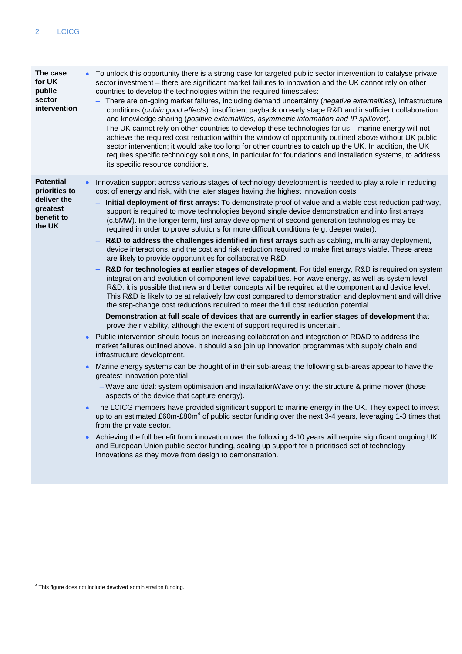| The case<br>for UK<br>public<br>sector<br>intervention                               |           | To unlock this opportunity there is a strong case for targeted public sector intervention to catalyse private<br>sector investment – there are significant market failures to innovation and the UK cannot rely on other<br>countries to develop the technologies within the required timescales:<br>- There are on-going market failures, including demand uncertainty (negative externalities), infrastructure<br>conditions (public good effects), insufficient payback on early stage R&D and insufficient collaboration<br>and knowledge sharing (positive externalities, asymmetric information and IP spillover).<br>The UK cannot rely on other countries to develop these technologies for us - marine energy will not<br>achieve the required cost reduction within the window of opportunity outlined above without UK public<br>sector intervention; it would take too long for other countries to catch up the UK. In addition, the UK<br>requires specific technology solutions, in particular for foundations and installation systems, to address<br>its specific resource conditions.                                                                                                                                                                                                                                                                                                                                                                                                                                                                                                                                                                                                                                                                                                                                                                                                                                                                                                                                                                                                                                                                                                                                                                                                                                                                                                                                                                                                                                                                                                                                                                            |
|--------------------------------------------------------------------------------------|-----------|-----------------------------------------------------------------------------------------------------------------------------------------------------------------------------------------------------------------------------------------------------------------------------------------------------------------------------------------------------------------------------------------------------------------------------------------------------------------------------------------------------------------------------------------------------------------------------------------------------------------------------------------------------------------------------------------------------------------------------------------------------------------------------------------------------------------------------------------------------------------------------------------------------------------------------------------------------------------------------------------------------------------------------------------------------------------------------------------------------------------------------------------------------------------------------------------------------------------------------------------------------------------------------------------------------------------------------------------------------------------------------------------------------------------------------------------------------------------------------------------------------------------------------------------------------------------------------------------------------------------------------------------------------------------------------------------------------------------------------------------------------------------------------------------------------------------------------------------------------------------------------------------------------------------------------------------------------------------------------------------------------------------------------------------------------------------------------------------------------------------------------------------------------------------------------------------------------------------------------------------------------------------------------------------------------------------------------------------------------------------------------------------------------------------------------------------------------------------------------------------------------------------------------------------------------------------------------------------------------------------------------------------------------------------------------------|
| <b>Potential</b><br>priorities to<br>deliver the<br>greatest<br>benefit to<br>the UK | $\bullet$ | Innovation support across various stages of technology development is needed to play a role in reducing<br>cost of energy and risk, with the later stages having the highest innovation costs:<br>Initial deployment of first arrays: To demonstrate proof of value and a viable cost reduction pathway,<br>support is required to move technologies beyond single device demonstration and into first arrays<br>(c.5MW). In the longer term, first array development of second generation technologies may be<br>required in order to prove solutions for more difficult conditions (e.g. deeper water).<br>R&D to address the challenges identified in first arrays such as cabling, multi-array deployment,<br>device interactions, and the cost and risk reduction required to make first arrays viable. These areas<br>are likely to provide opportunities for collaborative R&D.<br>R&D for technologies at earlier stages of development. For tidal energy, R&D is required on system<br>integration and evolution of component level capabilities. For wave energy, as well as system level<br>R&D, it is possible that new and better concepts will be required at the component and device level.<br>This R&D is likely to be at relatively low cost compared to demonstration and deployment and will drive<br>the step-change cost reductions required to meet the full cost reduction potential.<br>Demonstration at full scale of devices that are currently in earlier stages of development that<br>prove their viability, although the extent of support required is uncertain.<br>Public intervention should focus on increasing collaboration and integration of RD&D to address the<br>market failures outlined above. It should also join up innovation programmes with supply chain and<br>infrastructure development.<br>Marine energy systems can be thought of in their sub-areas; the following sub-areas appear to have the<br>greatest innovation potential:<br>- Wave and tidal: system optimisation and installationWave only: the structure & prime mover (those<br>aspects of the device that capture energy).<br>The LCICG members have provided significant support to marine energy in the UK. They expect to invest<br>up to an estimated £60m-£80m $4$ of public sector funding over the next 3-4 years, leveraging 1-3 times that<br>from the private sector.<br>Achieving the full benefit from innovation over the following 4-10 years will require significant ongoing UK<br>and European Union public sector funding, scaling up support for a prioritised set of technology<br>innovations as they move from design to demonstration. |

-

<sup>&</sup>lt;sup>4</sup> This figure does not include devolved administration funding.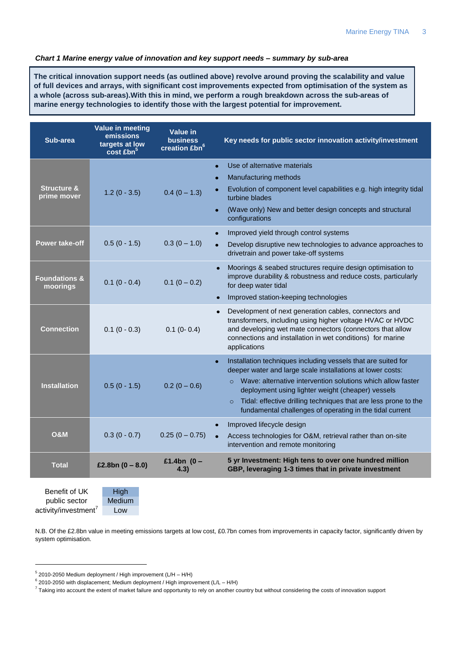#### *Chart 1 Marine energy value of innovation and key support needs – summary by sub-area*

**The critical innovation support needs (as outlined above) revolve around proving the scalability and value of full devices and arrays, with significant cost improvements expected from optimisation of the system as a whole (across sub-areas).With this in mind, we perform a rough breakdown across the sub-areas of marine energy technologies to identify those with the largest potential for improvement.**

| Sub-area                 | <b>Value in meeting</b><br>emissions<br>targets at low<br>$\cos t$ £bn <sup>3</sup> | Value in<br><b>business</b><br>creation £bn <sup>6</sup> | Key needs for public sector innovation activity/investment                                                                                                                                                                                                                 |
|--------------------------|-------------------------------------------------------------------------------------|----------------------------------------------------------|----------------------------------------------------------------------------------------------------------------------------------------------------------------------------------------------------------------------------------------------------------------------------|
|                          |                                                                                     |                                                          | Use of alternative materials<br>$\bullet$                                                                                                                                                                                                                                  |
| <b>Structure &amp;</b>   |                                                                                     |                                                          | Manufacturing methods<br>Evolution of component level capabilities e.g. high integrity tidal                                                                                                                                                                               |
| prime mover              | $1.2(0 - 3.5)$                                                                      | $0.4(0 - 1.3)$                                           | turbine blades                                                                                                                                                                                                                                                             |
|                          |                                                                                     |                                                          | (Wave only) New and better design concepts and structural<br>$\bullet$<br>configurations                                                                                                                                                                                   |
|                          |                                                                                     |                                                          | Improved yield through control systems<br>$\bullet$                                                                                                                                                                                                                        |
| <b>Power take-off</b>    | $0.5(0 - 1.5)$                                                                      | $0.3(0 - 1.0)$                                           | Develop disruptive new technologies to advance approaches to<br>$\bullet$<br>drivetrain and power take-off systems                                                                                                                                                         |
| <b>Foundations &amp;</b> |                                                                                     |                                                          | Moorings & seabed structures require design optimisation to<br>improve durability & robustness and reduce costs, particularly                                                                                                                                              |
| moorings                 | $0.1(0 - 0.4)$                                                                      | $0.1(0 - 0.2)$                                           | for deep water tidal                                                                                                                                                                                                                                                       |
|                          |                                                                                     |                                                          | Improved station-keeping technologies                                                                                                                                                                                                                                      |
| <b>Connection</b>        | $0.1 (0 - 0.3)$                                                                     | $0.1$ (0- 0.4)                                           | Development of next generation cables, connectors and<br>$\bullet$<br>transformers, including using higher voltage HVAC or HVDC<br>and developing wet mate connectors (connectors that allow<br>connections and installation in wet conditions) for marine<br>applications |
|                          |                                                                                     |                                                          | Installation techniques including vessels that are suited for<br>$\bullet$<br>deeper water and large scale installations at lower costs:                                                                                                                                   |
| <b>Installation</b>      | $0.5(0 - 1.5)$                                                                      | $0.2(0 - 0.6)$                                           | Wave: alternative intervention solutions which allow faster<br>$\circ$                                                                                                                                                                                                     |
|                          |                                                                                     |                                                          | deployment using lighter weight (cheaper) vessels<br>Tidal: effective drilling techniques that are less prone to the<br>$\circ$                                                                                                                                            |
|                          |                                                                                     |                                                          | fundamental challenges of operating in the tidal current                                                                                                                                                                                                                   |
|                          |                                                                                     |                                                          | Improved lifecycle design                                                                                                                                                                                                                                                  |
| <b>O&amp;M</b>           | $0.3(0 - 0.7)$                                                                      | $0.25(0 - 0.75)$                                         | Access technologies for O&M, retrieval rather than on-site<br>intervention and remote monitoring                                                                                                                                                                           |
| <b>Total</b>             | £2.8bn $(0 - 8.0)$                                                                  | £1.4bn $(0 -$<br>4.3)                                    | 5 yr Investment: High tens to over one hundred million<br>GBP, leveraging 1-3 times that in private investment                                                                                                                                                             |
| Benefit of UK            | High                                                                                |                                                          |                                                                                                                                                                                                                                                                            |

public sector activity/investment<sup>7</sup>

-

Medium Low

N.B. Of the £2.8bn value in meeting emissions targets at low cost, £0.7bn comes from improvements in capacity factor, significantly driven by system optimisation.

<sup>&</sup>lt;sup>5</sup> 2010-2050 Medium deployment / High improvement (L/H – H/H)

 $6$  2010-2050 with displacement; Medium deployment / High improvement (L/L – H/H)

 $^7$  Taking into account the extent of market failure and opportunity to rely on another country but without considering the costs of innovation support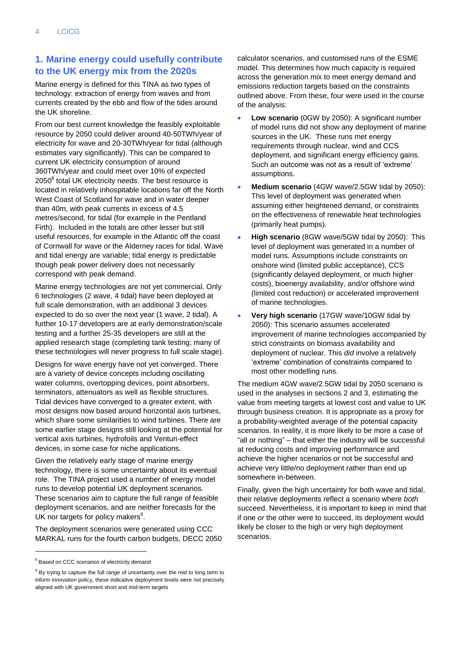## **1. Marine energy could usefully contribute to the UK energy mix from the 2020s**

Marine energy is defined for this TINA as two types of technology: extraction of energy from waves and from currents created by the ebb and flow of the tides around the UK shoreline.

From our best current knowledge the feasibly exploitable resource by 2050 could deliver around 40-50TWh/year of electricity for wave and 20-30TWh/year for tidal (although estimates vary significantly). This can be compared to current UK electricity consumption of around 360TWh/year and could meet over 10% of expected 2050 $^8$  total UK electricity needs. The best resource is located in relatively inhospitable locations far off the North West Coast of Scotland for wave and in water deeper than 40m, with peak currents in excess of 4.5 metres/second, for tidal (for example in the Pentland Firth). Included in the totals are other lesser but still useful resources, for example in the Atlantic off the coast of Cornwall for wave or the Alderney races for tidal. Wave and tidal energy are variable; tidal energy is predictable though peak power delivery does not necessarily correspond with peak demand.

Marine energy technologies are not yet commercial. Only 6 technologies (2 wave, 4 tidal) have been deployed at full scale demonstration, with an additional 3 devices expected to do so over the next year (1 wave, 2 tidal). A further 10-17 developers are at early demonstration/scale testing and a further 25-35 developers are still at the applied research stage (completing tank testing; many of these technologies will never progress to full scale stage).

Designs for wave energy have not yet converged. There are a variety of device concepts including oscillating water columns, overtopping devices, point absorbers, terminators, attenuators as well as flexible structures. Tidal devices have converged to a greater extent, with most designs now based around horizontal axis turbines, which share some similarities to wind turbines. There are some earlier stage designs still looking at the potential for vertical axis turbines, hydrofoils and Venturi-effect devices, in some case for niche applications.

Given the relatively early stage of marine energy technology, there is some uncertainty about its eventual role. The TINA project used a number of energy model runs to develop potential UK deployment scenarios. These scenarios aim to capture the full range of feasible deployment scenarios, and are neither forecasts for the UK nor targets for policy makers<sup>9</sup>.

The deployment scenarios were generated using CCC MARKAL runs for the fourth carbon budgets, DECC 2050

-

calculator scenarios, and customised runs of the ESME model. This determines how much capacity is required across the generation mix to meet energy demand and emissions reduction targets based on the constraints outlined above. From these, four were used in the course of the analysis:

- **Low scenario** (0GW by 2050): A significant number of model runs did not show any deployment of marine sources in the UK. These runs met energy requirements through nuclear, wind and CCS deployment, and significant energy efficiency gains. Such an outcome was not as a result of 'extreme' assumptions.
- **Medium scenario** (4GW wave/2.5GW tidal by 2050): This level of deployment was generated when assuming either heightened demand, or constraints on the effectiveness of renewable heat technologies (primarily heat pumps).
- **High scenario** (8GW wave/5GW tidal by 2050): This level of deployment was generated in a number of model runs. Assumptions include constraints on onshore wind (limited public acceptance), CCS (significantly delayed deployment, or much higher costs), bioenergy availability, and/or offshore wind (limited cost reduction) or accelerated improvement of marine technologies.
- **Very high scenario** (17GW wave/10GW tidal by 2050): This scenario assumes accelerated improvement of marine technologies accompanied by strict constraints on biomass availability and deployment of nuclear. This *did* involve a relatively "extreme" combination of constraints compared to most other modelling runs.

The medium 4GW wave/2.5GW tidal by 2050 scenario is used in the analyses in sections 2 and 3, estimating the value from meeting targets at lowest cost and value to UK through business creation. It is appropriate as a proxy for a probability-weighted average of the potential capacity scenarios. In reality, it is more likely to be more a case of "all or nothing" – that either the industry will be successful at reducing costs and improving performance and achieve the higher scenarios or not be successful and achieve very little/no deployment rather than end up somewhere in-between.

Finally, given the high uncertainty for both wave and tidal. their relative deployments reflect a scenario where *both*  succeed. Nevertheless, it is important to keep in mind that if one *or* the other were to succeed, its deployment would likely be closer to the high or very high deployment scenarios.

<sup>&</sup>lt;sup>8</sup> Based on CCC scenarios of electricity demand

 $9$  By trying to capture the full range of uncertainty over the mid to long term to inform innovation policy, these indicative deployment levels were not precisely aligned with UK government short and mid-term targets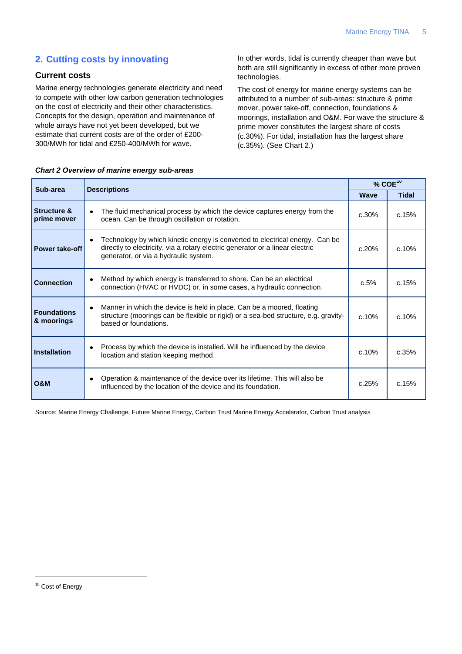## **2. Cutting costs by innovating**

## **Current costs**

Marine energy technologies generate electricity and need to compete with other low carbon generation technologies on the cost of electricity and their other characteristics. Concepts for the design, operation and maintenance of whole arrays have not yet been developed, but we estimate that current costs are of the order of £200- 300/MWh for tidal and £250-400/MWh for wave.

In other words, tidal is currently cheaper than wave but both are still significantly in excess of other more proven technologies.

The cost of energy for marine energy systems can be attributed to a number of sub-areas: structure & prime mover, power take-off, connection, foundations & moorings, installation and O&M. For wave the structure & prime mover constitutes the largest share of costs (c.30%). For tidal, installation has the largest share (c.35%). (See [Chart 2.](#page-6-0))

| Sub-area                              |                                                                                                                                                                                                                     | % $COE^{10}$ |              |  |
|---------------------------------------|---------------------------------------------------------------------------------------------------------------------------------------------------------------------------------------------------------------------|--------------|--------------|--|
|                                       | <b>Descriptions</b>                                                                                                                                                                                                 | <b>Wave</b>  | <b>Tidal</b> |  |
| <b>Structure &amp;</b><br>prime mover | The fluid mechanical process by which the device captures energy from the<br>٠<br>ocean. Can be through oscillation or rotation.                                                                                    | c.30%        | c.15%        |  |
| <b>Power take-off</b>                 | Technology by which kinetic energy is converted to electrical energy. Can be<br>$\bullet$<br>directly to electricity, via a rotary electric generator or a linear electric<br>generator, or via a hydraulic system. | c.20%        | c.10%        |  |
| <b>Connection</b>                     | Method by which energy is transferred to shore. Can be an electrical<br>٠<br>connection (HVAC or HVDC) or, in some cases, a hydraulic connection.                                                                   | c.5%         | c.15%        |  |
| <b>Foundations</b><br>& moorings      | Manner in which the device is held in place. Can be a moored, floating<br>$\bullet$<br>structure (moorings can be flexible or rigid) or a sea-bed structure, e.g. gravity-<br>based or foundations.                 | c.10%        | c.10%        |  |
| Installation                          | Process by which the device is installed. Will be influenced by the device<br>٠<br>location and station keeping method.                                                                                             | c.10%        | c.35%        |  |
| <b>O&amp;M</b>                        | Operation & maintenance of the device over its lifetime. This will also be<br>٠<br>influenced by the location of the device and its foundation.                                                                     | c.25%        | c.15%        |  |

#### <span id="page-6-0"></span>*Chart 2 Overview of marine energy sub-areas*

Source: Marine Energy Challenge, Future Marine Energy, Carbon Trust Marine Energy Accelerator, Carbon Trust analysis

## <sup>10</sup> Cost of Energy

-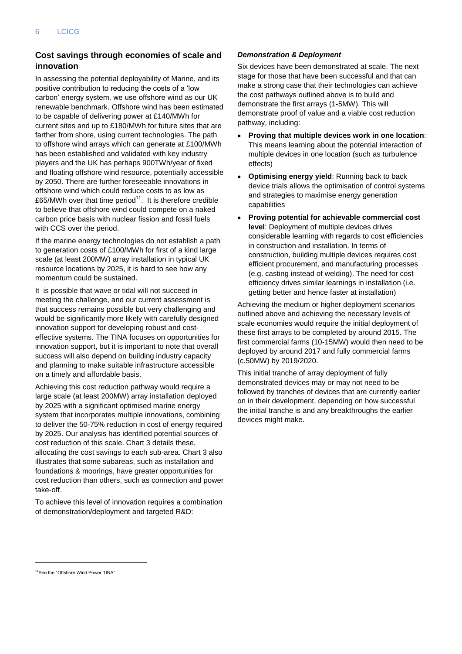## **Cost savings through economies of scale and innovation**

In assessing the potential deployability of Marine, and its positive contribution to reducing the costs of a "low carbon" energy system, we use offshore wind as our UK renewable benchmark. Offshore wind has been estimated to be capable of delivering power at £140/MWh for current sites and up to £180/MWh for future sites that are farther from shore, using current technologies. The path to offshore wind arrays which can generate at £100/MWh has been established and validated with key industry players and the UK has perhaps 900TWh/year of fixed and floating offshore wind resource, potentially accessible by 2050. There are further foreseeable innovations in offshore wind which could reduce costs to as low as £65/MWh over that time period<sup>11</sup>. It is therefore credible to believe that offshore wind could compete on a naked carbon price basis with nuclear fission and fossil fuels with CCS over the period.

If the marine energy technologies do not establish a path to generation costs of £100/MWh for first of a kind large scale (at least 200MW) array installation in typical UK resource locations by 2025, it is hard to see how any momentum could be sustained.

It is possible that wave or tidal will not succeed in meeting the challenge, and our current assessment is that success remains possible but very challenging and would be significantly more likely with carefully designed innovation support for developing robust and costeffective systems. The TINA focuses on opportunities for innovation support, but it is important to note that overall success will also depend on building industry capacity and planning to make suitable infrastructure accessible on a timely and affordable basis.

Achieving this cost reduction pathway would require a large scale (at least 200MW) array installation deployed by 2025 with a significant optimised marine energy system that incorporates multiple innovations, combining to deliver the 50-75% reduction in cost of energy required by 2025. Our analysis has identified potential sources of cost reduction of this scale[. Chart 3](#page-8-0) details these, allocating the cost savings to each sub-area. [Chart 3](#page-8-0) also illustrates that some subareas, such as installation and foundations & moorings, have greater opportunities for cost reduction than others, such as connection and power take-off.

To achieve this level of innovation requires a combination of demonstration/deployment and targeted R&D:

### *Demonstration & Deployment*

Six devices have been demonstrated at scale. The next stage for those that have been successful and that can make a strong case that their technologies can achieve the cost pathways outlined above is to build and demonstrate the first arrays (1-5MW). This will demonstrate proof of value and a viable cost reduction pathway, including:

- $\bullet$ **Proving that multiple devices work in one location**: This means learning about the potential interaction of multiple devices in one location (such as turbulence effects)
- **Optimising energy yield**: Running back to back device trials allows the optimisation of control systems and strategies to maximise energy generation capabilities
- **Proving potential for achievable commercial cost level**: Deployment of multiple devices drives considerable learning with regards to cost efficiencies in construction and installation. In terms of construction, building multiple devices requires cost efficient procurement, and manufacturing processes (e.g. casting instead of welding). The need for cost efficiency drives similar learnings in installation (i.e. getting better and hence faster at installation)

Achieving the medium or higher deployment scenarios outlined above and achieving the necessary levels of scale economies would require the initial deployment of these first arrays to be completed by around 2015. The first commercial farms (10-15MW) would then need to be deployed by around 2017 and fully commercial farms (c.50MW) by 2019/2020.

This initial tranche of array deployment of fully demonstrated devices may or may not need to be followed by tranches of devices that are currently earlier on in their development, depending on how successful the initial tranche is and any breakthroughs the earlier devices might make.

 $\overline{a}$ 

<sup>&</sup>lt;sup>11</sup>See the "Offshore Wind Power TINA"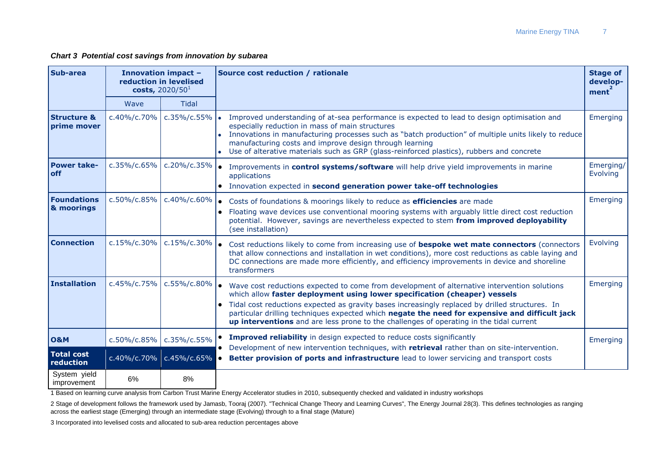*Chart 3 Potential cost savings from innovation by subarea*

| <b>Sub-area</b>                       |                     | <b>Innovation impact -</b><br>reduction in levelised<br>costs, $2020/501$ | Source cost reduction / rationale                                                                                                                                                                                                                                                                                                                                                                                                                                                      |                       |  |  |
|---------------------------------------|---------------------|---------------------------------------------------------------------------|----------------------------------------------------------------------------------------------------------------------------------------------------------------------------------------------------------------------------------------------------------------------------------------------------------------------------------------------------------------------------------------------------------------------------------------------------------------------------------------|-----------------------|--|--|
|                                       | Wave                | <b>Tidal</b>                                                              |                                                                                                                                                                                                                                                                                                                                                                                                                                                                                        |                       |  |  |
| <b>Structure &amp;</b><br>prime mover | c.40%/c.70%         | $c.35\%$ / $c.55\%$                                                       | Improved understanding of at-sea performance is expected to lead to design optimisation and<br>especially reduction in mass of main structures<br>• Innovations in manufacturing processes such as "batch production" of multiple units likely to reduce<br>manufacturing costs and improve design through learning<br>• Use of alterative materials such as GRP (glass-reinforced plastics), rubbers and concrete                                                                     | Emerging              |  |  |
| <b>Power take-</b><br><b>off</b>      | c.35%/c.65%         | c.20%/c.35%                                                               | Improvements in control systems/software will help drive yield improvements in marine<br>applications<br>• Innovation expected in second generation power take-off technologies                                                                                                                                                                                                                                                                                                        | Emerging/<br>Evolving |  |  |
| <b>Foundations</b><br>& moorings      | c.50%/c.85%         | c.40%/c.60%                                                               | Costs of foundations & moorings likely to reduce as <b>efficiencies</b> are made<br>$\bullet$<br>Floating wave devices use conventional mooring systems with arguably little direct cost reduction<br>potential. However, savings are nevertheless expected to stem from improved deployability<br>(see installation)                                                                                                                                                                  | Emerging              |  |  |
| <b>Connection</b>                     | c.15%/c.30%         | c.15%/c.30%                                                               | Cost reductions likely to come from increasing use of bespoke wet mate connectors (connectors<br>that allow connections and installation in wet conditions), more cost reductions as cable laying and<br>DC connections are made more efficiently, and efficiency improvements in device and shoreline<br>transformers                                                                                                                                                                 | Evolving              |  |  |
| Installation                          | c.45%/c.75%         | $c.55\%$ / $c.80\%$                                                       | Wave cost reductions expected to come from development of alternative intervention solutions<br>which allow faster deployment using lower specification (cheaper) vessels<br>Tidal cost reductions expected as gravity bases increasingly replaced by drilled structures. In<br>$\bullet$<br>particular drilling techniques expected which negate the need for expensive and difficult jack<br>up interventions and are less prone to the challenges of operating in the tidal current | Emerging              |  |  |
| <b>O&amp;M</b>                        | $c.50\%$ / $c.85\%$ | c.35%/c.55%                                                               | Improved reliability in design expected to reduce costs significantly<br>Development of new intervention techniques, with retrieval rather than on site-intervention.                                                                                                                                                                                                                                                                                                                  | Emerging              |  |  |
| <b>Total cost</b><br>reduction        |                     | $c.40\%$ /c.70% $c.45\%$ /c.65%                                           | Better provision of ports and infrastructure lead to lower servicing and transport costs                                                                                                                                                                                                                                                                                                                                                                                               |                       |  |  |
| System yield<br>improvement           | 6%                  | 8%                                                                        |                                                                                                                                                                                                                                                                                                                                                                                                                                                                                        |                       |  |  |

<span id="page-8-0"></span>1 Based on learning curve analysis from Carbon Trust Marine Energy Accelerator studies in 2010, subsequently checked and validated in industry workshops

2 Stage of development follows the framework used by Jamasb, Tooraj (2007). "Technical Change Theory and Learning Curves", The Energy Journal 28(3). This defines technologies as ranging across the earliest stage (Emerging) through an intermediate stage (Evolving) through to a final stage (Mature)

3 Incorporated into levelised costs and allocated to sub-area reduction percentages above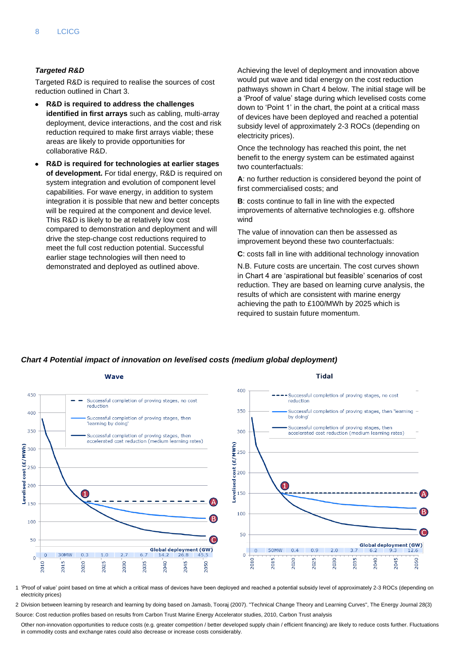#### *Targeted R&D*

Targeted R&D is required to realise the sources of cost reduction outlined in [Chart 3.](#page-8-0)

- **R&D is required to address the challenges identified in first arrays** such as cabling, multi-array deployment, device interactions, and the cost and risk reduction required to make first arrays viable; these areas are likely to provide opportunities for collaborative R&D.
- **R&D is required for technologies at earlier stages of development.** For tidal energy, R&D is required on system integration and evolution of component level capabilities. For wave energy, in addition to system integration it is possible that new and better concepts will be required at the component and device level. This R&D is likely to be at relatively low cost compared to demonstration and deployment and will drive the step-change cost reductions required to meet the full cost reduction potential. Successful earlier stage technologies will then need to demonstrated and deployed as outlined above.

Achieving the level of deployment and innovation above would put wave and tidal energy on the cost reduction pathways shown in Chart 4 below. The initial stage will be a "Proof of value" stage during which levelised costs come down to "Point 1" in the chart, the point at a critical mass of devices have been deployed and reached a potential subsidy level of approximately 2-3 ROCs (depending on electricity prices).

Once the technology has reached this point, the net benefit to the energy system can be estimated against two counterfactuals:

**A**: no further reduction is considered beyond the point of first commercialised costs; and

**B**: costs continue to fall in line with the expected improvements of alternative technologies e.g. offshore wind

The value of innovation can then be assessed as improvement beyond these two counterfactuals:

**C**: costs fall in line with additional technology innovation

N.B. Future costs are uncertain. The cost curves shown in Chart 4 are "aspirational but feasible" scenarios of cost reduction. They are based on learning curve analysis, the results of which are consistent with marine energy achieving the path to £100/MWh by 2025 which is required to sustain future momentum.

#### *Chart 4 Potential impact of innovation on levelised costs (medium global deployment)*



1 "Proof of value" point based on time at which a critical mass of devices have been deployed and reached a potential subsidy level of approximately 2-3 ROCs (depending on electricity prices)

2 Division between learning by research and learning by doing based on Jamasb, Tooraj (2007). "Technical Change Theory and Learning Curves", The Energy Journal 28(3) Source: Cost reduction profiles based on results from Carbon Trust Marine Energy Accelerator studies, 2010, Carbon Trust analysis

Other non-innovation opportunities to reduce costs (e.g. greater competition / better developed supply chain / efficient financing) are likely to reduce costs further. Fluctuations in commodity costs and exchange rates could also decrease or increase costs considerably.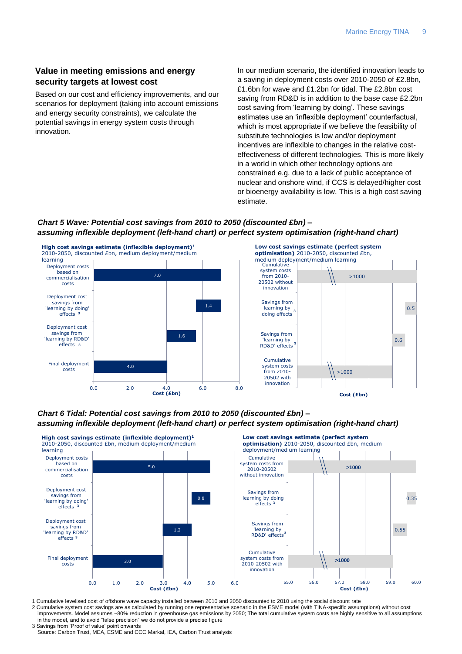## **Value in meeting emissions and energy security targets at lowest cost**

Based on our cost and efficiency improvements, and our scenarios for deployment (taking into account emissions and energy security constraints), we calculate the potential savings in energy system costs through innovation.

In our medium scenario, the identified innovation leads to a saving in deployment costs over 2010-2050 of £2.8bn, £1.6bn for wave and £1.2bn for tidal. The £2.8bn cost saving from RD&D is in addition to the base case £2.2bn cost saving from "learning by doing". These savings estimates use an 'inflexible deployment' counterfactual. which is most appropriate if we believe the feasibility of substitute technologies is low and/or deployment incentives are inflexible to changes in the relative costeffectiveness of different technologies. This is more likely in a world in which other technology options are constrained e.g. due to a lack of public acceptance of nuclear and onshore wind, if CCS is delayed/higher cost or bioenergy availability is low. This is a high cost saving estimate.

## *Chart 5 Wave: Potential cost savings from 2010 to 2050 (discounted £bn) – assuming inflexible deployment (left-hand chart) or perfect system optimisation (right-hand chart)*



### *Chart 6 Tidal: Potential cost savings from 2010 to 2050 (discounted £bn) – assuming inflexible deployment (left-hand chart) or perfect system optimisation (right-hand chart)*



- 1 Cumulative levelised cost of offshore wave capacity installed between 2010 and 2050 discounted to 2010 using the social discount rate
- 2 Cumulative system cost savings are as calculated by running one representative scenario in the ESME model (with TINA-specific assumptions) without cost improvements. Model assumes ~80% reduction in greenhouse gas emissions by 2050; The total cumulative system costs are highly sensitive to all assumptions in the model, and to avoid "false precision" we do not provide a precise figure
- 3 Savings from "Proof of value" point onwards Source: Carbon Trust, MEA, ESME and CCC Markal, IEA, Carbon Trust analysis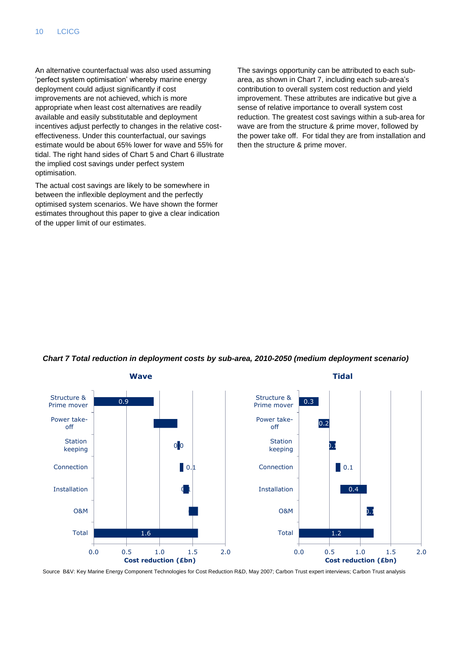An alternative counterfactual was also used assuming 'perfect system optimisation' whereby marine energy deployment could adjust significantly if cost improvements are not achieved, which is more appropriate when least cost alternatives are readily available and easily substitutable and deployment incentives adjust perfectly to changes in the relative costeffectiveness. Under this counterfactual, our savings estimate would be about 65% lower for wave and 55% for tidal. The right hand sides of Chart 5 and Chart 6 illustrate the implied cost savings under perfect system optimisation.

The actual cost savings are likely to be somewhere in between the inflexible deployment and the perfectly optimised system scenarios. We have shown the former estimates throughout this paper to give a clear indication of the upper limit of our estimates.

The savings opportunity can be attributed to each subarea, as shown in Chart 7, including each sub-area"s contribution to overall system cost reduction and yield improvement. These attributes are indicative but give a sense of relative importance to overall system cost reduction. The greatest cost savings within a sub-area for wave are from the structure & prime mover, followed by the power take off. For tidal they are from installation and then the structure & prime mover.



#### *Chart 7 Total reduction in deployment costs by sub-area, 2010-2050 (medium deployment scenario)*

Source B&V: Key Marine Energy Component Technologies for Cost Reduction R&D, May 2007; Carbon Trust expert interviews; Carbon Trust analysis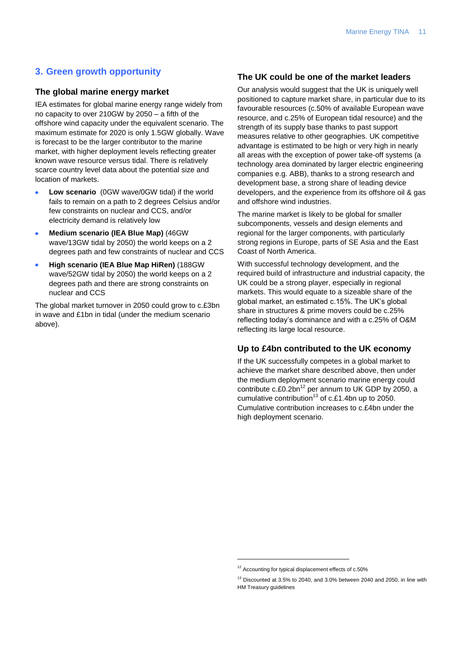## **3. Green growth opportunity**

#### **The global marine energy market**

IEA estimates for global marine energy range widely from no capacity to over 210GW by 2050 – a fifth of the offshore wind capacity under the equivalent scenario. The maximum estimate for 2020 is only 1.5GW globally. Wave is forecast to be the larger contributor to the marine market, with higher deployment levels reflecting greater known wave resource versus tidal. There is relatively scarce country level data about the potential size and location of markets.

- **Low scenario** (0GW wave/0GW tidal) if the world  $\bullet$ fails to remain on a path to 2 degrees Celsius and/or few constraints on nuclear and CCS, and/or electricity demand is relatively low
- **Medium scenario (IEA Blue Map)** (46GW wave/13GW tidal by 2050) the world keeps on a 2 degrees path and few constraints of nuclear and CCS
- **High scenario (IEA Blue Map HiRen)** (188GW wave/52GW tidal by 2050) the world keeps on a 2 degrees path and there are strong constraints on nuclear and CCS

The global market turnover in 2050 could grow to c.£3bn in wave and £1bn in tidal (under the medium scenario above).

## **The UK could be one of the market leaders**

Our analysis would suggest that the UK is uniquely well positioned to capture market share, in particular due to its favourable resources (c.50% of available European wave resource, and c.25% of European tidal resource) and the strength of its supply base thanks to past support measures relative to other geographies. UK competitive advantage is estimated to be high or very high in nearly all areas with the exception of power take-off systems (a technology area dominated by larger electric engineering companies e.g. ABB), thanks to a strong research and development base, a strong share of leading device developers, and the experience from its offshore oil & gas and offshore wind industries.

The marine market is likely to be global for smaller subcomponents, vessels and design elements and regional for the larger components, with particularly strong regions in Europe, parts of SE Asia and the East Coast of North America.

With successful technology development, and the required build of infrastructure and industrial capacity, the UK could be a strong player, especially in regional markets. This would equate to a sizeable share of the global market, an estimated c.15%. The UK's global share in structures & prime movers could be c.25% reflecting today"s dominance and with a c.25% of O&M reflecting its large local resource.

#### **Up to £4bn contributed to the UK economy**

If the UK successfully competes in a global market to achieve the market share described above, then under the medium deployment scenario marine energy could contribute  $c.f.0.2bn^{12}$  per annum to UK GDP by 2050, a cumulative contribution<sup>13</sup> of c.£1.4bn up to 2050. Cumulative contribution increases to c.£4bn under the high deployment scenario.

-

<sup>12</sup> Accounting for typical displacement effects of c.50%

 $13$  Discounted at 3.5% to 2040, and 3.0% between 2040 and 2050, in line with HM Treasury guidelines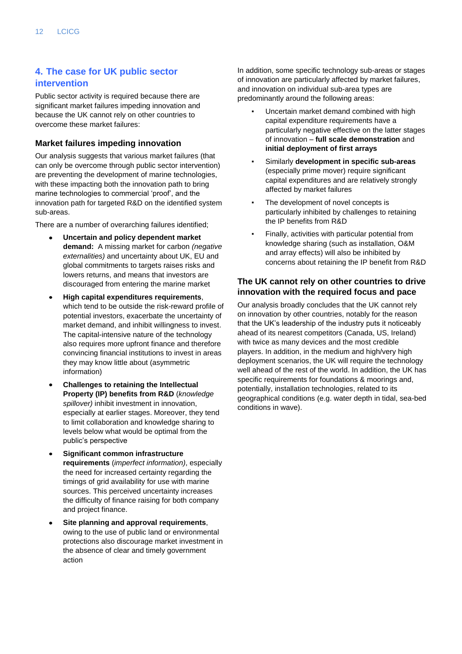## **4. The case for UK public sector intervention**

Public sector activity is required because there are significant market failures impeding innovation and because the UK cannot rely on other countries to overcome these market failures:

## **Market failures impeding innovation**

Our analysis suggests that various market failures (that can only be overcome through public sector intervention) are preventing the development of marine technologies, with these impacting both the innovation path to bring marine technologies to commercial "proof", and the innovation path for targeted R&D on the identified system sub-areas.

There are a number of overarching failures identified;

- **Uncertain and policy dependent market demand:** A missing market for carbon *(negative externalities)* and uncertainty about UK, EU and global commitments to targets raises risks and lowers returns, and means that investors are discouraged from entering the marine market
- **High capital expenditures requirements**, which tend to be outside the risk-reward profile of potential investors, exacerbate the uncertainty of market demand, and inhibit willingness to invest. The capital-intensive nature of the technology also requires more upfront finance and therefore convincing financial institutions to invest in areas they may know little about (asymmetric information)
- **Challenges to retaining the Intellectual Property (IP) benefits from R&D** (*knowledge spillover)* inhibit investment in innovation, especially at earlier stages. Moreover, they tend to limit collaboration and knowledge sharing to levels below what would be optimal from the public"s perspective
- **Significant common infrastructure requirements** (*imperfect information)*, especially the need for increased certainty regarding the timings of grid availability for use with marine sources. This perceived uncertainty increases the difficulty of finance raising for both company and project finance.
- **Site planning and approval requirements**, owing to the use of public land or environmental protections also discourage market investment in the absence of clear and timely government action

In addition, some specific technology sub-areas or stages of innovation are particularly affected by market failures, and innovation on individual sub-area types are predominantly around the following areas:

- Uncertain market demand combined with high capital expenditure requirements have a particularly negative effective on the latter stages of innovation – **full scale demonstration** and **initial deployment of first arrays**
- **Similarly development in specific sub-areas** (especially prime mover) require significant capital expenditures and are relatively strongly affected by market failures
- The development of novel concepts is particularly inhibited by challenges to retaining the IP benefits from R&D
- Finally, activities with particular potential from knowledge sharing (such as installation, O&M and array effects) will also be inhibited by concerns about retaining the IP benefit from R&D

## **The UK cannot rely on other countries to drive innovation with the required focus and pace**

Our analysis broadly concludes that the UK cannot rely on innovation by other countries, notably for the reason that the UK"s leadership of the industry puts it noticeably ahead of its nearest competitors (Canada, US, Ireland) with twice as many devices and the most credible players. In addition, in the medium and high/very high deployment scenarios, the UK will require the technology well ahead of the rest of the world. In addition, the UK has specific requirements for foundations & moorings and, potentially, installation technologies, related to its geographical conditions (e.g. water depth in tidal, sea-bed conditions in wave).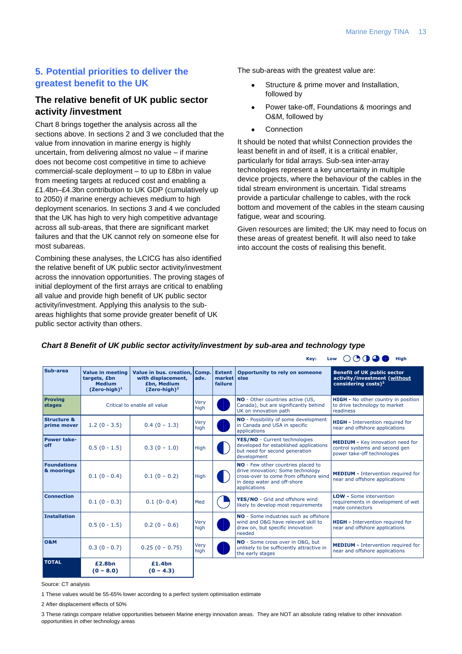## **5. Potential priorities to deliver the greatest benefit to the UK**

## **The relative benefit of UK public sector activity /investment**

Chart 8 brings together the analysis across all the sections above. In sections 2 and 3 we concluded that the value from innovation in marine energy is highly uncertain, from delivering almost no value – if marine does not become cost competitive in time to achieve commercial-scale deployment – to up to £8bn in value from meeting targets at reduced cost and enabling a £1.4bn–£4.3bn contribution to UK GDP (cumulatively up to 2050) if marine energy achieves medium to high deployment scenarios. In sections 3 and 4 we concluded that the UK has high to very high competitive advantage across all sub-areas, that there are significant market failures and that the UK cannot rely on someone else for most subareas.

Combining these analyses, the LCICG has also identified the relative benefit of UK public sector activity/investment across the innovation opportunities. The proving stages of initial deployment of the first arrays are critical to enabling all value and provide high benefit of UK public sector activity/investment. Applying this analysis to the subareas highlights that some provide greater benefit of UK public sector activity than others.

The sub-areas with the greatest value are:

- Structure & prime mover and Installation, followed by
- Power take-off, Foundations & moorings and O&M, followed by
- **Connection**

It should be noted that whilst Connection provides the least benefit in and of itself, it is a critical enabler, particularly for tidal arrays. Sub-sea inter-array technologies represent a key uncertainty in multiple device projects, where the behaviour of the cables in the tidal stream environment is uncertain. Tidal streams provide a particular challenge to cables, with the rock bottom and movement of the cables in the steam causing fatigue, wear and scouring.

Given resources are limited; the UK may need to focus on these areas of greatest benefit. It will also need to take into account the costs of realising this benefit.

## *Chart 8 Benefit of UK public sector activity/investment by sub-area and technology type*

|                                       | $\circ\circ\bullet\bullet\bullet$<br>High<br>Key:<br>Low             |                                                                                                |                     |                                                                                                    |                                                                                                                                                                 |                                                                                                          |  |
|---------------------------------------|----------------------------------------------------------------------|------------------------------------------------------------------------------------------------|---------------------|----------------------------------------------------------------------------------------------------|-----------------------------------------------------------------------------------------------------------------------------------------------------------------|----------------------------------------------------------------------------------------------------------|--|
| Sub-area                              | Value in meeting<br>targets, £bn<br><b>Medium</b><br>$(Zero-high)^1$ | Value in bus. creation, Comp.<br>with displacement,<br>£bn, Medium<br>(Zero-high) <sup>2</sup> | adv.                | <b>Extent</b><br>market<br>failure                                                                 | Opportunity to rely on someone<br>else                                                                                                                          | <b>Benefit of UK public sector</b><br>activity/investment (without<br>considering costs) <sup>3</sup>    |  |
| <b>Proving</b><br>stages              | Critical to enable all value                                         |                                                                                                | Very<br>high        | NO - Other countries active (US,<br>Canada), but are significantly behind<br>UK on innovation path |                                                                                                                                                                 | HIGH - No other country in position<br>to drive technology to market<br>readiness                        |  |
| <b>Structure &amp;</b><br>prime mover | $1.2(0 - 3.5)$                                                       | $0.4(0 - 1.3)$                                                                                 | Very<br>high        |                                                                                                    | NO - Possibility of some development<br>in Canada and USA in specific<br>applications                                                                           | <b>HIGH</b> - Intervention required for<br>near and offshore applications                                |  |
| Power take-<br>off                    | $0.5(0 - 1.5)$                                                       | $0.3(0 - 1.0)$                                                                                 | High                |                                                                                                    | YES/NO - Current technologies<br>developed for established applications<br>but need for second generation<br>development                                        | <b>MEDIUM - Key innovation need for</b><br>control systems and second gen<br>power take-off technologies |  |
| <b>Foundations</b><br>& moorings      | $0.1(0 - 0.4)$                                                       | $0.1(0 - 0.2)$                                                                                 | High                |                                                                                                    | NO - Few other countries placed to<br>drive innovation; Some technology<br>cross-over to come from offshore wind<br>in deep water and off-shore<br>applications | <b>MEDIUM</b> - Intervention required for<br>near and offshore applications                              |  |
| <b>Connection</b>                     | $0.1(0 - 0.3)$                                                       | $0.1(0-0.4)$                                                                                   | Med                 |                                                                                                    | YES/NO - Grid and offshore wind<br>likely to develop most requirements                                                                                          | <b>LOW - Some intervention</b><br>requirements in development of wet<br>mate connectors                  |  |
| <b>Installation</b>                   | $0.5(0 - 1.5)$                                                       | $0.2(0 - 0.6)$                                                                                 | Very<br>high        |                                                                                                    | NO - Some industries such as offshore<br>wind and O&G have relevant skill to<br>draw on, but specific innovation<br>needed                                      | <b>HIGH</b> - Intervention required for<br>near and offshore applications                                |  |
| <b>O&amp;M</b>                        | $0.3(0 - 0.7)$                                                       | $0.25(0 - 0.75)$                                                                               | <b>Very</b><br>high |                                                                                                    | NO - Some cross over in O&G, but<br>unlikely to be sufficiently attractive in<br>the early stages                                                               | <b>MEDIUM</b> - Intervention required for<br>near and offshore applications                              |  |
| <b>TOTAL</b>                          | £2.8bn<br>$(0 - 8.0)$                                                | £1.4bn<br>$(0 - 4.3)$                                                                          |                     |                                                                                                    |                                                                                                                                                                 |                                                                                                          |  |

Source: CT analysis

1 These values would be 55-65% lower according to a perfect system optimisation estimate

2 After displacement effects of 50%

3 These ratings compare relative opportunities between Marine energy innovation areas. They are NOT an absolute rating relative to other innovation opportunities in other technology areas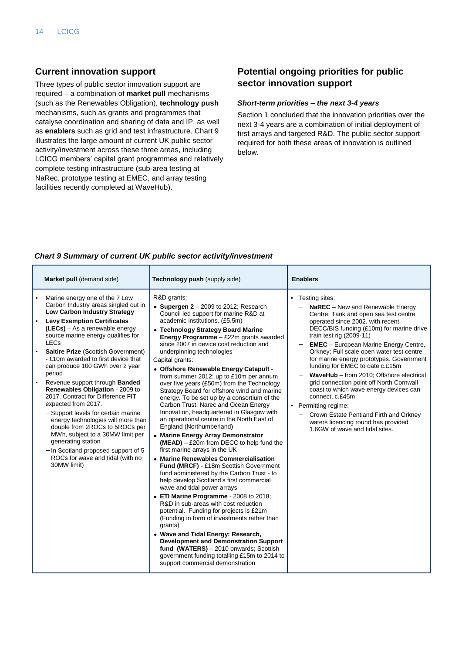## **Current innovation support**

Three types of public sector innovation support are required – a combination of **market pull** mechanisms (such as the Renewables Obligation), **technology push** mechanisms, such as grants and programmes that catalyse coordination and sharing of data and IP, as well as **enablers** such as grid and test infrastructure. Chart 9 illustrates the large amount of current UK public sector activity/investment across these three areas, including LCICG members" capital grant programmes and relatively complete testing infrastructure (sub-area testing at NaRec, prototype testing at EMEC, and array testing facilities recently completed at WaveHub).

## **Potential ongoing priorities for public sector innovation support**

#### *Short-term priorities – the next 3-4 years*

Section 1 concluded that the innovation priorities over the next 3-4 years are a combination of initial deployment of first arrays and targeted R&D. The public sector support required for both these areas of innovation is outlined below.

### <span id="page-15-0"></span>*Chart 9 Summary of current UK public sector activity/investment*

| Market pull (demand side)                                                                                                                                                                                                                                                                                                                                                                                                                                                                                                                                                                                                                                                                                                                                                                                            | Technology push (supply side)                                                                                                                                                                                                                                                                                                                                                                                                                                                                                                                                                                                                                                                                                                                                                                                                                                                                                                                                                                                                                                                                                                                                                                                                                                                                                                                                                                                                                                    | <b>Enablers</b>                                                                                                                                                                                                                                                                                                                                                                                                                                                                                                                                                                                                                                                                                |
|----------------------------------------------------------------------------------------------------------------------------------------------------------------------------------------------------------------------------------------------------------------------------------------------------------------------------------------------------------------------------------------------------------------------------------------------------------------------------------------------------------------------------------------------------------------------------------------------------------------------------------------------------------------------------------------------------------------------------------------------------------------------------------------------------------------------|------------------------------------------------------------------------------------------------------------------------------------------------------------------------------------------------------------------------------------------------------------------------------------------------------------------------------------------------------------------------------------------------------------------------------------------------------------------------------------------------------------------------------------------------------------------------------------------------------------------------------------------------------------------------------------------------------------------------------------------------------------------------------------------------------------------------------------------------------------------------------------------------------------------------------------------------------------------------------------------------------------------------------------------------------------------------------------------------------------------------------------------------------------------------------------------------------------------------------------------------------------------------------------------------------------------------------------------------------------------------------------------------------------------------------------------------------------------|------------------------------------------------------------------------------------------------------------------------------------------------------------------------------------------------------------------------------------------------------------------------------------------------------------------------------------------------------------------------------------------------------------------------------------------------------------------------------------------------------------------------------------------------------------------------------------------------------------------------------------------------------------------------------------------------|
| Marine energy one of the 7 Low<br>Carbon Industry areas singled out in<br><b>Low Carbon Industry Strategy</b><br><b>Levy Exemption Certificates</b><br>$\blacksquare$<br>(LECs) - As a renewable energy<br>source marine energy qualifies for<br>LECs<br><b>Saltire Prize (Scottish Government)</b><br>$\blacksquare$<br>- £10m awarded to first device that<br>can produce 100 GWh over 2 year<br>period<br>Revenue support through <b>Banded</b><br>Renewables Obligation - 2009 to<br>2017. Contract for Difference FIT<br>expected from 2017.<br>- Support levels for certain marine<br>energy technologies will more than<br>double from 2ROCs to 5ROCs per<br>MWh, subject to a 30MW limit per<br>generating station<br>- In Scotland proposed support of 5<br>ROCs for wave and tidal (with no<br>30MW limit) | R&D grants:<br>• Supergen $2 - 2009$ to 2012; Research<br>Council led support for marine R&D at<br>academic institutions. (£5.5m)<br>• Technology Strategy Board Marine<br><b>Energy Programme</b> $-$ £22m grants awarded<br>since 2007 in device cost reduction and<br>underpinning technologies<br>Capital grants:<br>• Offshore Renewable Energy Catapult -<br>from summer 2012; up to £10m per annum<br>over five years (£50m) from the Technology<br>Strategy Board for offshore wind and marine<br>energy. To be set up by a consortium of the<br>Carbon Trust, Narec and Ocean Energy<br>Innovation, headquartered in Glasgow with<br>an operational centre in the North East of<br>England (Northumberland)<br>• Marine Energy Array Demonstrator<br>$(MEAD) - £20m$ from DECC to help fund the<br>first marine arrays in the UK<br>• Marine Renewables Commercialisation<br>Fund (MRCF) - £18m Scottish Government<br>fund administered by the Carbon Trust - to<br>help develop Scotland's first commercial<br>wave and tidal power arrays<br>• ETI Marine Programme - 2008 to 2018;<br>R&D in sub-areas with cost reduction<br>potential. Funding for projects is £21m<br>(Funding in form of investments rather than<br>grants)<br>• Wave and Tidal Energy: Research,<br><b>Development and Demonstration Support</b><br>fund (WATERS) - 2010 onwards; Scottish<br>government funding totalling £15m to 2014 to<br>support commercial demonstration | • Testing sites:<br><b>NaREC</b> – New and Renewable Energy<br>Centre; Tank and open sea test centre<br>operated since 2002, with recent<br>DECC/BIS funding (£10m) for marine drive<br>train test rig $(2009-11)$<br><b>EMEC</b> - European Marine Energy Centre,<br>Orkney; Full scale open water test centre<br>for marine energy prototypes. Government<br>funding for EMEC to date c.£15m<br>WaveHub - from 2010; Offshore electrical<br>grid connection point off North Cornwall<br>coast to which wave energy devices can<br>connect, c.£45m<br>• Permitting regime:<br>Crown Estate Pentland Firth and Orkney<br>waters licencing round has provided<br>1.6GW of wave and tidal sites. |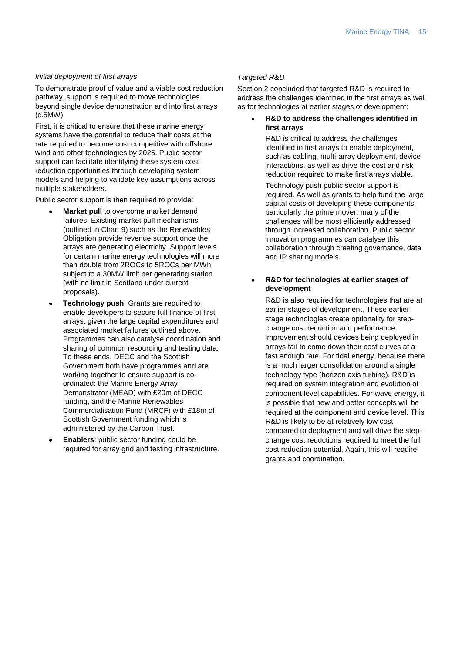#### *Initial deployment of first arrays*

To demonstrate proof of value and a viable cost reduction pathway, support is required to move technologies beyond single device demonstration and into first arrays (c.5MW).

First, it is critical to ensure that these marine energy systems have the potential to reduce their costs at the rate required to become cost competitive with offshore wind and other technologies by 2025. Public sector support can facilitate identifying these system cost reduction opportunities through developing system models and helping to validate key assumptions across multiple stakeholders.

Public sector support is then required to provide:

- **Market pull** to overcome market demand failures. Existing market pull mechanisms (outlined in [Chart 9\)](#page-15-0) such as the Renewables Obligation provide revenue support once the arrays are generating electricity. Support levels for certain marine energy technologies will more than double from 2ROCs to 5ROCs per MWh, subject to a 30MW limit per generating station (with no limit in Scotland under current proposals).
- **Technology push**: Grants are required to enable developers to secure full finance of first arrays, given the large capital expenditures and associated market failures outlined above. Programmes can also catalyse coordination and sharing of common resourcing and testing data. To these ends, DECC and the Scottish Government both have programmes and are working together to ensure support is coordinated: the Marine Energy Array Demonstrator (MEAD) with £20m of DECC funding, and the Marine Renewables Commercialisation Fund (MRCF) with £18m of Scottish Government funding which is administered by the Carbon Trust.
- **Enablers**: public sector funding could be required for array grid and testing infrastructure.

#### *Targeted R&D*

Section 2 concluded that targeted R&D is required to address the challenges identified in the first arrays as well as for technologies at earlier stages of development:

**R&D to address the challenges identified in first arrays**

> R&D is critical to address the challenges identified in first arrays to enable deployment, such as cabling, multi-array deployment, device interactions, as well as drive the cost and risk reduction required to make first arrays viable.

Technology push public sector support is required. As well as grants to help fund the large capital costs of developing these components, particularly the prime mover, many of the challenges will be most efficiently addressed through increased collaboration. Public sector innovation programmes can catalyse this collaboration through creating governance, data and IP sharing models.

#### **R&D for technologies at earlier stages of development**

R&D is also required for technologies that are at earlier stages of development. These earlier stage technologies create optionality for stepchange cost reduction and performance improvement should devices being deployed in arrays fail to come down their cost curves at a fast enough rate. For tidal energy, because there is a much larger consolidation around a single technology type (horizon axis turbine), R&D is required on system integration and evolution of component level capabilities. For wave energy, it is possible that new and better concepts will be required at the component and device level. This R&D is likely to be at relatively low cost compared to deployment and will drive the stepchange cost reductions required to meet the full cost reduction potential. Again, this will require grants and coordination.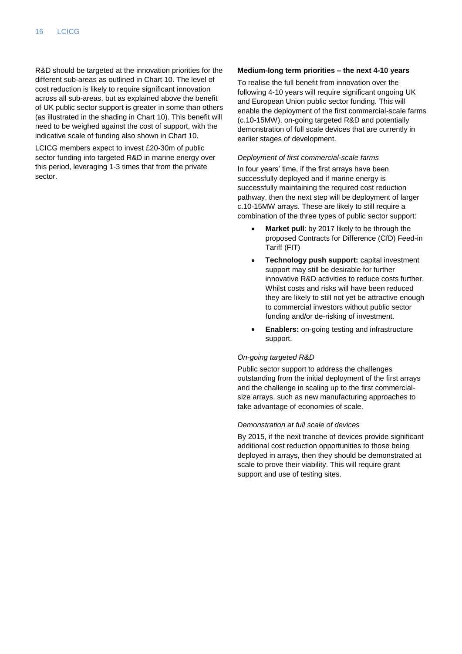R&D should be targeted at the innovation priorities for the different sub-areas as outlined in Chart 10. The level of cost reduction is likely to require significant innovation across all sub-areas, but as explained above the benefit of UK public sector support is greater in some than others (as illustrated in the shading in Chart 10). This benefit will need to be weighed against the cost of support, with the indicative scale of funding also shown in Chart 10.

LCICG members expect to invest £20-30m of public sector funding into targeted R&D in marine energy over this period, leveraging 1-3 times that from the private sector.

#### **Medium-long term priorities – the next 4-10 years**

To realise the full benefit from innovation over the following 4-10 years will require significant ongoing UK and European Union public sector funding. This will enable the deployment of the first commercial-scale farms (c.10-15MW), on-going targeted R&D and potentially demonstration of full scale devices that are currently in earlier stages of development.

#### *Deployment of first commercial-scale farms*

In four years' time, if the first arrays have been successfully deployed and if marine energy is successfully maintaining the required cost reduction pathway, then the next step will be deployment of larger c.10-15MW arrays. These are likely to still require a combination of the three types of public sector support:

- **Market pull**: by 2017 likely to be through the proposed Contracts for Difference (CfD) Feed-in Tariff (FIT)
- **Technology push support:** capital investment support may still be desirable for further innovative R&D activities to reduce costs further. Whilst costs and risks will have been reduced they are likely to still not yet be attractive enough to commercial investors without public sector funding and/or de-risking of investment.
- **Enablers:** on-going testing and infrastructure support.

#### *On-going targeted R&D*

Public sector support to address the challenges outstanding from the initial deployment of the first arrays and the challenge in scaling up to the first commercialsize arrays, such as new manufacturing approaches to take advantage of economies of scale.

#### *Demonstration at full scale of devices*

By 2015, if the next tranche of devices provide significant additional cost reduction opportunities to those being deployed in arrays, then they should be demonstrated at scale to prove their viability. This will require grant support and use of testing sites.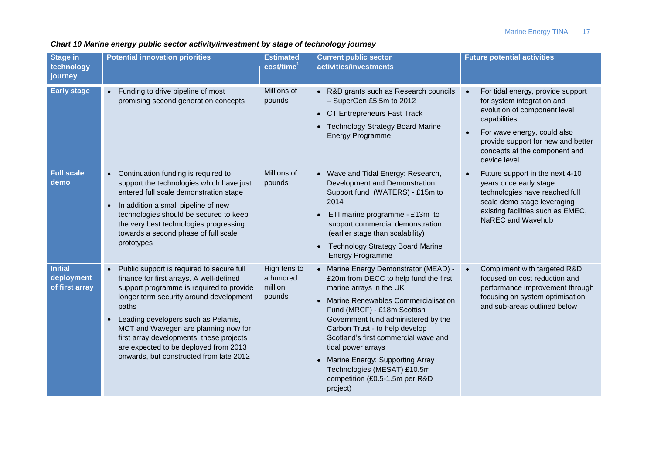## *Chart 10 Marine energy public sector activity/investment by stage of technology journey*

| <b>Stage in</b><br>technology<br>journey       | <b>Potential innovation priorities</b>                                                                                                                                                                                                                                                                                                                                                                                         | <b>Estimated</b><br>cost/time <sup>1</sup>     | <b>Current public sector</b><br>activities/investments                                                                                                                                                                                                                                                                                                                                                                                        | <b>Future potential activities</b>                                                                                                                                                                                                    |
|------------------------------------------------|--------------------------------------------------------------------------------------------------------------------------------------------------------------------------------------------------------------------------------------------------------------------------------------------------------------------------------------------------------------------------------------------------------------------------------|------------------------------------------------|-----------------------------------------------------------------------------------------------------------------------------------------------------------------------------------------------------------------------------------------------------------------------------------------------------------------------------------------------------------------------------------------------------------------------------------------------|---------------------------------------------------------------------------------------------------------------------------------------------------------------------------------------------------------------------------------------|
| <b>Early stage</b>                             | Funding to drive pipeline of most<br>$\bullet$<br>promising second generation concepts                                                                                                                                                                                                                                                                                                                                         | Millions of<br>pounds                          | • R&D grants such as Research councils<br>- SuperGen £5.5m to 2012<br>• CT Entrepreneurs Fast Track<br>• Technology Strategy Board Marine<br><b>Energy Programme</b>                                                                                                                                                                                                                                                                          | For tidal energy, provide support<br>for system integration and<br>evolution of component level<br>capabilities<br>For wave energy, could also<br>provide support for new and better<br>concepts at the component and<br>device level |
| <b>Full scale</b><br>demo                      | Continuation funding is required to<br>$\bullet$<br>support the technologies which have just<br>entered full scale demonstration stage<br>In addition a small pipeline of new<br>$\bullet$<br>technologies should be secured to keep<br>the very best technologies progressing<br>towards a second phase of full scale<br>prototypes                                                                                           | Millions of<br>pounds                          | • Wave and Tidal Energy: Research,<br>Development and Demonstration<br>Support fund (WATERS) - £15m to<br>2014<br>ETI marine programme - £13m to<br>support commercial demonstration<br>(earlier stage than scalability)<br><b>Technology Strategy Board Marine</b><br><b>Energy Programme</b>                                                                                                                                                | Future support in the next 4-10<br>years once early stage<br>technologies have reached full<br>scale demo stage leveraging<br>existing facilities such as EMEC,<br>NaREC and Wavehub                                                  |
| <b>Initial</b><br>deployment<br>of first array | Public support is required to secure full<br>$\bullet$<br>finance for first arrays. A well-defined<br>support programme is required to provide<br>longer term security around development<br>paths<br>Leading developers such as Pelamis,<br>$\bullet$<br>MCT and Wavegen are planning now for<br>first array developments; these projects<br>are expected to be deployed from 2013<br>onwards, but constructed from late 2012 | High tens to<br>a hundred<br>million<br>pounds | • Marine Energy Demonstrator (MEAD) -<br>£20m from DECC to help fund the first<br>marine arrays in the UK<br>Marine Renewables Commercialisation<br>Fund (MRCF) - £18m Scottish<br>Government fund administered by the<br>Carbon Trust - to help develop<br>Scotland's first commercial wave and<br>tidal power arrays<br><b>Marine Energy: Supporting Array</b><br>Technologies (MESAT) £10.5m<br>competition (£0.5-1.5m per R&D<br>project) | Compliment with targeted R&D<br>focused on cost reduction and<br>performance improvement through<br>focusing on system optimisation<br>and sub-areas outlined below                                                                   |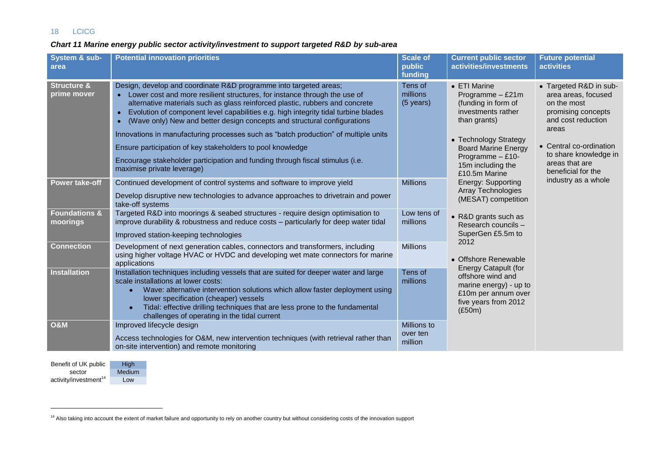## 18 LCICG

## *Chart 11 Marine energy public sector activity/investment to support targeted R&D by sub-area*

| System & sub-<br>area                 | <b>Potential innovation priorities</b>                                                                                                                                                                                                                                                                                                                                                                                                                                                                                                                                                                                                                                 | <b>Scale of</b><br>public<br>funding | <b>Current public sector</b><br>activities/investments                                                                                                                                                                                                                                                                                                       | <b>Future potential</b><br><b>activities</b>                                                                                                                                                                                         |
|---------------------------------------|------------------------------------------------------------------------------------------------------------------------------------------------------------------------------------------------------------------------------------------------------------------------------------------------------------------------------------------------------------------------------------------------------------------------------------------------------------------------------------------------------------------------------------------------------------------------------------------------------------------------------------------------------------------------|--------------------------------------|--------------------------------------------------------------------------------------------------------------------------------------------------------------------------------------------------------------------------------------------------------------------------------------------------------------------------------------------------------------|--------------------------------------------------------------------------------------------------------------------------------------------------------------------------------------------------------------------------------------|
| <b>Structure &amp;</b><br>prime mover | Design, develop and coordinate R&D programme into targeted areas;<br>• Lower cost and more resilient structures, for instance through the use of<br>alternative materials such as glass reinforced plastic, rubbers and concrete<br>Evolution of component level capabilities e.g. high integrity tidal turbine blades<br>(Wave only) New and better design concepts and structural configurations<br>Innovations in manufacturing processes such as "batch production" of multiple units<br>Ensure participation of key stakeholders to pool knowledge<br>Encourage stakeholder participation and funding through fiscal stimulus (i.e.<br>maximise private leverage) | Tens of<br>millions<br>(5 years)     | • ETI Marine<br>Programme - £21m<br>(funding in form of<br>investments rather<br>than grants)<br>• Technology Strategy<br><b>Board Marine Energy</b><br>Programme - £10-<br>15m including the<br>£10.5m Marine<br>Energy: Supporting<br><b>Array Technologies</b><br>(MESAT) competition<br>• R&D grants such as<br>Research councils -<br>SuperGen £5.5m to | • Targeted R&D in sub-<br>area areas, focused<br>on the most<br>promising concepts<br>and cost reduction<br>areas<br>• Central co-ordination<br>to share knowledge in<br>areas that are<br>beneficial for the<br>industry as a whole |
| <b>Power take-off</b>                 | Continued development of control systems and software to improve yield<br>Develop disruptive new technologies to advance approaches to drivetrain and power<br>take-off systems                                                                                                                                                                                                                                                                                                                                                                                                                                                                                        | <b>Millions</b>                      |                                                                                                                                                                                                                                                                                                                                                              |                                                                                                                                                                                                                                      |
| <b>Foundations &amp;</b><br>moorings  | Targeted R&D into moorings & seabed structures - require design optimisation to<br>improve durability & robustness and reduce costs - particularly for deep water tidal<br>Improved station-keeping technologies                                                                                                                                                                                                                                                                                                                                                                                                                                                       | Low tens of<br>millions              |                                                                                                                                                                                                                                                                                                                                                              |                                                                                                                                                                                                                                      |
| <b>Connection</b>                     | Development of next generation cables, connectors and transformers, including<br>using higher voltage HVAC or HVDC and developing wet mate connectors for marine<br>applications                                                                                                                                                                                                                                                                                                                                                                                                                                                                                       | <b>Millions</b>                      | 2012<br>• Offshore Renewable                                                                                                                                                                                                                                                                                                                                 |                                                                                                                                                                                                                                      |
| <b>Installation</b>                   | Installation techniques including vessels that are suited for deeper water and large<br>scale installations at lower costs:<br>Wave: alternative intervention solutions which allow faster deployment using<br>lower specification (cheaper) vessels<br>Tidal: effective drilling techniques that are less prone to the fundamental<br>challenges of operating in the tidal current                                                                                                                                                                                                                                                                                    | Tens of<br>millions                  | <b>Energy Catapult (for</b><br>offshore wind and<br>marine energy) - up to<br>£10m per annum over<br>five years from 2012<br>(E50m)                                                                                                                                                                                                                          |                                                                                                                                                                                                                                      |
| <b>O&amp;M</b>                        | Improved lifecycle design<br>Access technologies for O&M, new intervention techniques (with retrieval rather than<br>on-site intervention) and remote monitoring                                                                                                                                                                                                                                                                                                                                                                                                                                                                                                       | Millions to<br>over ten<br>million   |                                                                                                                                                                                                                                                                                                                                                              |                                                                                                                                                                                                                                      |

Benefit of UK public sector  $\arctivity/investment<sup>14</sup>$ High Low

 $\overline{a}$ 

**Medium** 

<sup>&</sup>lt;sup>14</sup> Also taking into account the extent of market failure and opportunity to rely on another country but without considering costs of the innovation support